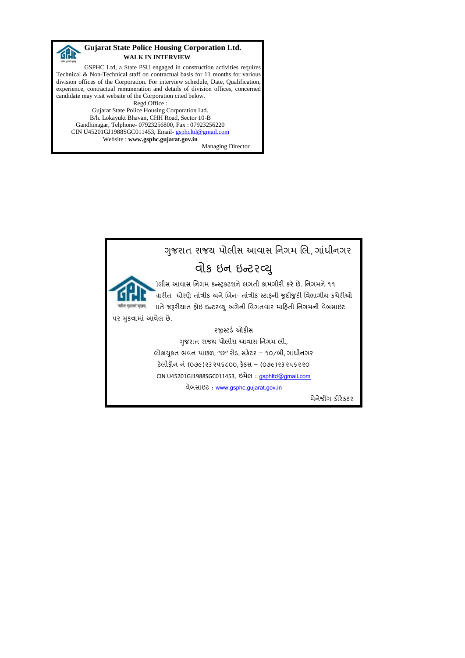

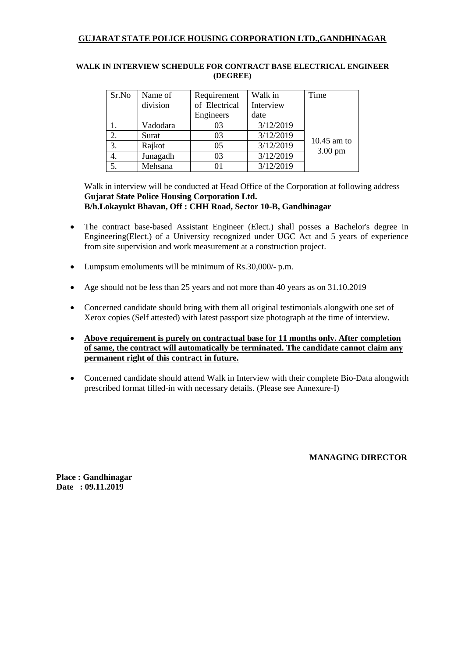| Sr.No | Name of  | Requirement                | Walk in   | Time              |
|-------|----------|----------------------------|-----------|-------------------|
|       | division | of Electrical<br>Interview |           |                   |
|       |          | Engineers                  | date      |                   |
|       | Vadodara | 03                         | 3/12/2019 |                   |
| 2.    | Surat    | 03                         | 3/12/2019 |                   |
| 3.    | Rajkot   | 05                         | 3/12/2019 | $10.45$ am to     |
| 4.    | Junagadh | 03                         | 3/12/2019 | $3.00 \text{ pm}$ |
|       | Mehsana  |                            | 3/12/2019 |                   |

## **WALK IN INTERVIEW SCHEDULE FOR CONTRACT BASE ELECTRICAL ENGINEER (DEGREE)**

Walk in interview will be conducted at Head Office of the Corporation at following address **Gujarat State Police Housing Corporation Ltd. B/h.Lokayukt Bhavan, Off : CHH Road, Sector 10-B, Gandhinagar**

- The contract base-based Assistant Engineer (Elect.) shall posses a Bachelor's degree in Engineering(Elect.) of a University recognized under UGC Act and 5 years of experience from site supervision and work measurement at a construction project.
- Lumpsum emoluments will be minimum of Rs.30,000/- p.m.
- Age should not be less than 25 years and not more than 40 years as on 31.10.2019
- Concerned candidate should bring with them all original testimonials alongwith one set of Xerox copies (Self attested) with latest passport size photograph at the time of interview.
- **Above requirement is purely on contractual base for 11 months only. After completion of same, the contract will automatically be terminated. The candidate cannot claim any permanent right of this contract in future.**
- Concerned candidate should attend Walk in Interview with their complete Bio-Data alongwith prescribed format filled-in with necessary details. (Please see Annexure-I)

**MANAGING DIRECTOR**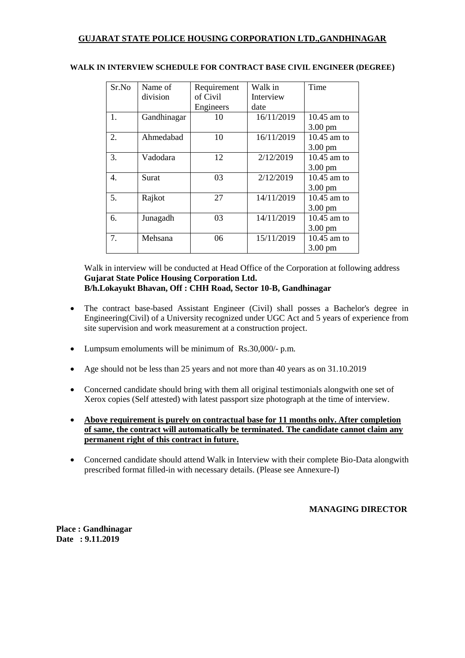| Sr.No | Name of     | Requirement | Walk in    | Time              |
|-------|-------------|-------------|------------|-------------------|
|       | division    | of Civil    | Interview  |                   |
|       |             | Engineers   | date       |                   |
| 1.    | Gandhinagar | 10          | 16/11/2019 | $10.45$ am to     |
|       |             |             |            | $3.00 \text{ pm}$ |
| 2.    | Ahmedabad   | 10          | 16/11/2019 | 10.45 am to       |
|       |             |             |            | $3.00 \text{ pm}$ |
| 3.    | Vadodara    | 12          | 2/12/2019  | $10.45$ am to     |
|       |             |             |            | 3.00 pm           |
| 4.    | Surat       | 03          | 2/12/2019  | 10.45 am to       |
|       |             |             |            | 3.00 pm           |
| 5.    | Rajkot      | 27          | 14/11/2019 | 10.45 am to       |
|       |             |             |            | $3.00 \text{ pm}$ |
| б.    | Junagadh    | 03          | 14/11/2019 | 10.45 am to       |
|       |             |             |            | 3.00 pm           |
| 7.    | Mehsana     | 06          | 15/11/2019 | 10.45 am to       |
|       |             |             |            | $3.00 \text{ pm}$ |

#### **WALK IN INTERVIEW SCHEDULE FOR CONTRACT BASE CIVIL ENGINEER (DEGREE)**

Walk in interview will be conducted at Head Office of the Corporation at following address **Gujarat State Police Housing Corporation Ltd. B/h.Lokayukt Bhavan, Off : CHH Road, Sector 10-B, Gandhinagar**

- The contract base-based Assistant Engineer (Civil) shall posses a Bachelor's degree in Engineering(Civil) of a University recognized under UGC Act and 5 years of experience from site supervision and work measurement at a construction project.
- Lumpsum emoluments will be minimum of Rs.30,000/- p.m.
- Age should not be less than 25 years and not more than 40 years as on 31.10.2019
- Concerned candidate should bring with them all original testimonials alongwith one set of Xerox copies (Self attested) with latest passport size photograph at the time of interview.
- **Above requirement is purely on contractual base for 11 months only. After completion of same, the contract will automatically be terminated. The candidate cannot claim any permanent right of this contract in future.**
- Concerned candidate should attend Walk in Interview with their complete Bio-Data alongwith prescribed format filled-in with necessary details. (Please see Annexure-I)

## **MANAGING DIRECTOR**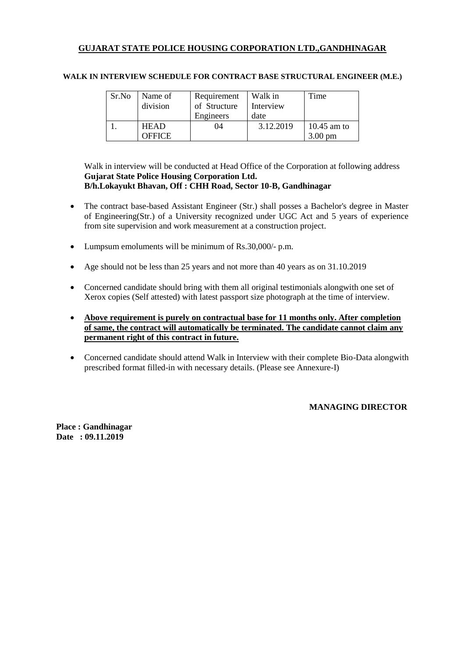| Sr.No | Name of<br>division | Requirement<br>of Structure | Walk in<br>Interview | Time              |
|-------|---------------------|-----------------------------|----------------------|-------------------|
|       |                     | Engineers                   | date                 |                   |
|       | <b>HEAD</b>         | 04                          | 3.12.2019            | $10.45$ am to     |
|       | <b>OFFICE</b>       |                             |                      | $3.00 \text{ pm}$ |

#### **WALK IN INTERVIEW SCHEDULE FOR CONTRACT BASE STRUCTURAL ENGINEER (M.E.)**

Walk in interview will be conducted at Head Office of the Corporation at following address **Gujarat State Police Housing Corporation Ltd. B/h.Lokayukt Bhavan, Off : CHH Road, Sector 10-B, Gandhinagar**

- The contract base-based Assistant Engineer (Str.) shall posses a Bachelor's degree in Master of Engineering(Str.) of a University recognized under UGC Act and 5 years of experience from site supervision and work measurement at a construction project.
- Lumpsum emoluments will be minimum of Rs. 30,000/- p.m.
- Age should not be less than 25 years and not more than 40 years as on 31.10.2019
- Concerned candidate should bring with them all original testimonials alongwith one set of Xerox copies (Self attested) with latest passport size photograph at the time of interview.
- **Above requirement is purely on contractual base for 11 months only. After completion of same, the contract will automatically be terminated. The candidate cannot claim any permanent right of this contract in future.**
- Concerned candidate should attend Walk in Interview with their complete Bio-Data alongwith prescribed format filled-in with necessary details. (Please see Annexure-I)

#### **MANAGING DIRECTOR**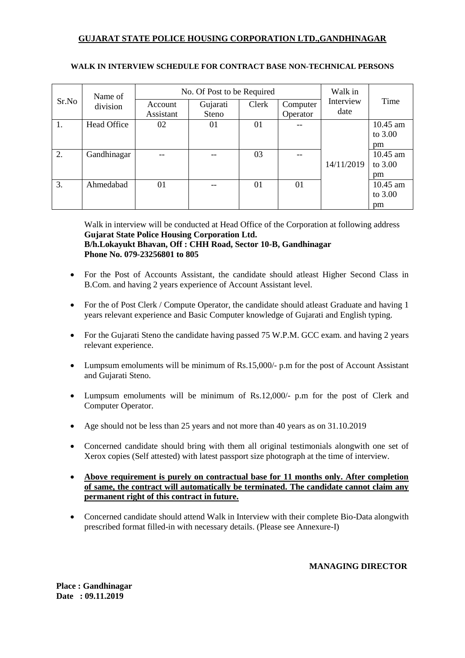|       | Name of     |           | No. Of Post to be Required |       |          | Walk in           |          |
|-------|-------------|-----------|----------------------------|-------|----------|-------------------|----------|
| Sr.No | division    | Account   | Gujarati                   | Clerk | Computer | Interview<br>date | Time     |
|       |             | Assistant | Steno                      |       | Operator |                   |          |
| 1.    | Head Office | 02        | 01                         | 01    |          |                   | 10.45 am |
|       |             |           |                            |       |          |                   | to 3.00  |
|       |             |           |                            |       |          |                   | pm       |
| 2.    | Gandhinagar |           |                            | 03    |          |                   | 10.45 am |
|       |             |           |                            |       |          | 14/11/2019        | to 3.00  |
|       |             |           |                            |       |          |                   | pm       |
| 3.    | Ahmedabad   | 01        | --                         | 01    | 01       |                   | 10.45 am |
|       |             |           |                            |       |          |                   | to 3.00  |
|       |             |           |                            |       |          |                   | pm       |

## **WALK IN INTERVIEW SCHEDULE FOR CONTRACT BASE NON-TECHNICAL PERSONS**

Walk in interview will be conducted at Head Office of the Corporation at following address **Gujarat State Police Housing Corporation Ltd.**

# **B/h.Lokayukt Bhavan, Off : CHH Road, Sector 10-B, Gandhinagar Phone No. 079-23256801 to 805**

- For the Post of Accounts Assistant, the candidate should atleast Higher Second Class in B.Com. and having 2 years experience of Account Assistant level.
- For the of Post Clerk / Compute Operator, the candidate should atleast Graduate and having 1 years relevant experience and Basic Computer knowledge of Gujarati and English typing.
- For the Gujarati Steno the candidate having passed 75 W.P.M. GCC exam. and having 2 years relevant experience.
- Lumpsum emoluments will be minimum of Rs.15,000/- p.m for the post of Account Assistant and Gujarati Steno.
- Lumpsum emoluments will be minimum of Rs.12,000/- p.m for the post of Clerk and Computer Operator.
- Age should not be less than 25 years and not more than 40 years as on 31.10.2019
- Concerned candidate should bring with them all original testimonials alongwith one set of Xerox copies (Self attested) with latest passport size photograph at the time of interview.
- **Above requirement is purely on contractual base for 11 months only. After completion of same, the contract will automatically be terminated. The candidate cannot claim any permanent right of this contract in future.**
- Concerned candidate should attend Walk in Interview with their complete Bio-Data alongwith prescribed format filled-in with necessary details. (Please see Annexure-I)

## **MANAGING DIRECTOR**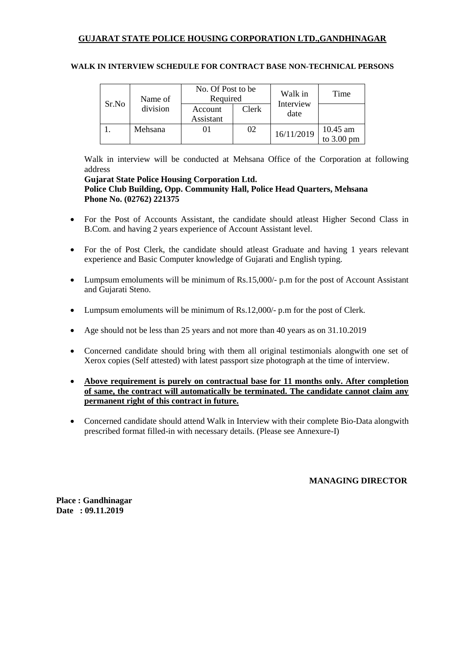|       | Name of  | No. Of Post to be<br>Required |       | Walk in           | Time                               |
|-------|----------|-------------------------------|-------|-------------------|------------------------------------|
| Sr.No | division | Account<br>Assistant          | Clerk | Interview<br>date |                                    |
|       | Mehsana  |                               | 02    | 16/11/2019        | $10.45$ am<br>to $3.00 \text{ pm}$ |

## **WALK IN INTERVIEW SCHEDULE FOR CONTRACT BASE NON-TECHNICAL PERSONS**

Walk in interview will be conducted at Mehsana Office of the Corporation at following address

#### **Gujarat State Police Housing Corporation Ltd. Police Club Building, Opp. Community Hall, Police Head Quarters, Mehsana Phone No. (02762) 221375**

- For the Post of Accounts Assistant, the candidate should atleast Higher Second Class in B.Com. and having 2 years experience of Account Assistant level.
- For the of Post Clerk, the candidate should atleast Graduate and having 1 years relevant experience and Basic Computer knowledge of Gujarati and English typing.
- Lumpsum emoluments will be minimum of Rs.15,000/- p.m for the post of Account Assistant and Gujarati Steno.
- Lumpsum emoluments will be minimum of Rs.12,000/- p.m for the post of Clerk.
- Age should not be less than 25 years and not more than 40 years as on 31.10.2019
- Concerned candidate should bring with them all original testimonials alongwith one set of Xerox copies (Self attested) with latest passport size photograph at the time of interview.
- **Above requirement is purely on contractual base for 11 months only. After completion of same, the contract will automatically be terminated. The candidate cannot claim any permanent right of this contract in future.**
- Concerned candidate should attend Walk in Interview with their complete Bio-Data alongwith prescribed format filled-in with necessary details. (Please see Annexure-I)

**MANAGING DIRECTOR**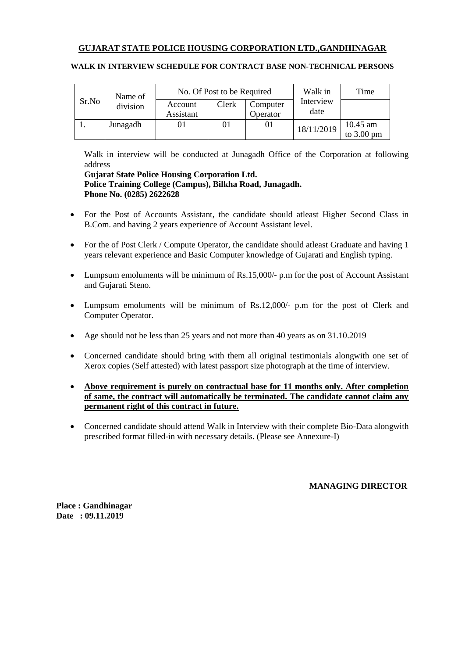|       | Name of  | No. Of Post to be Required |       |                      | Walk in           | Time                             |
|-------|----------|----------------------------|-------|----------------------|-------------------|----------------------------------|
| Sr.No | division | Account<br>Assistant       | Clerk | Computer<br>Operator | Interview<br>date |                                  |
|       | Junagadh |                            | 01    | 01                   | 18/11/2019        | 10.45 am<br>to $3.00 \text{ pm}$ |

## **WALK IN INTERVIEW SCHEDULE FOR CONTRACT BASE NON-TECHNICAL PERSONS**

Walk in interview will be conducted at Junagadh Office of the Corporation at following address

## **Gujarat State Police Housing Corporation Ltd. Police Training College (Campus), Bilkha Road, Junagadh. Phone No. (0285) 2622628**

- For the Post of Accounts Assistant, the candidate should atleast Higher Second Class in B.Com. and having 2 years experience of Account Assistant level.
- For the of Post Clerk / Compute Operator, the candidate should atleast Graduate and having 1 years relevant experience and Basic Computer knowledge of Gujarati and English typing.
- Lumpsum emoluments will be minimum of Rs.15,000/- p.m for the post of Account Assistant and Gujarati Steno.
- Lumpsum emoluments will be minimum of Rs.12,000/- p.m for the post of Clerk and Computer Operator.
- Age should not be less than 25 years and not more than 40 years as on 31.10.2019
- Concerned candidate should bring with them all original testimonials alongwith one set of Xerox copies (Self attested) with latest passport size photograph at the time of interview.
- **Above requirement is purely on contractual base for 11 months only. After completion of same, the contract will automatically be terminated. The candidate cannot claim any permanent right of this contract in future.**
- Concerned candidate should attend Walk in Interview with their complete Bio-Data alongwith prescribed format filled-in with necessary details. (Please see Annexure-I)

**MANAGING DIRECTOR**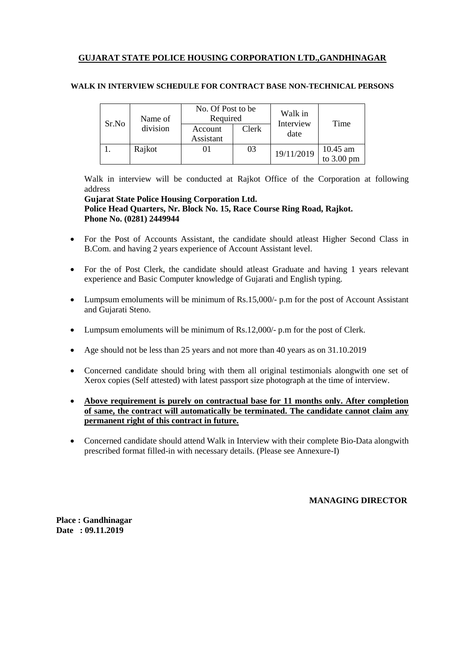| Sr.No | Name of<br>division | No. Of Post to be<br>Required<br>Account<br>Assistant | Clerk | Walk in<br>Interview<br>date | Time                               |
|-------|---------------------|-------------------------------------------------------|-------|------------------------------|------------------------------------|
|       | Rajkot              |                                                       | 03    | 19/11/2019                   | $10.45$ am<br>to $3.00 \text{ pm}$ |

#### **WALK IN INTERVIEW SCHEDULE FOR CONTRACT BASE NON-TECHNICAL PERSONS**

Walk in interview will be conducted at Rajkot Office of the Corporation at following address

**Gujarat State Police Housing Corporation Ltd. Police Head Quarters, Nr. Block No. 15, Race Course Ring Road, Rajkot. Phone No. (0281) 2449944**

- For the Post of Accounts Assistant, the candidate should atleast Higher Second Class in B.Com. and having 2 years experience of Account Assistant level.
- For the of Post Clerk, the candidate should atleast Graduate and having 1 years relevant experience and Basic Computer knowledge of Gujarati and English typing.
- Lumpsum emoluments will be minimum of Rs.15,000/- p.m for the post of Account Assistant and Gujarati Steno.
- Lumpsum emoluments will be minimum of Rs.12,000/- p.m for the post of Clerk.
- Age should not be less than 25 years and not more than 40 years as on 31.10.2019
- Concerned candidate should bring with them all original testimonials alongwith one set of Xerox copies (Self attested) with latest passport size photograph at the time of interview.
- **Above requirement is purely on contractual base for 11 months only. After completion of same, the contract will automatically be terminated. The candidate cannot claim any permanent right of this contract in future.**
- Concerned candidate should attend Walk in Interview with their complete Bio-Data alongwith prescribed format filled-in with necessary details. (Please see Annexure-I)

**MANAGING DIRECTOR**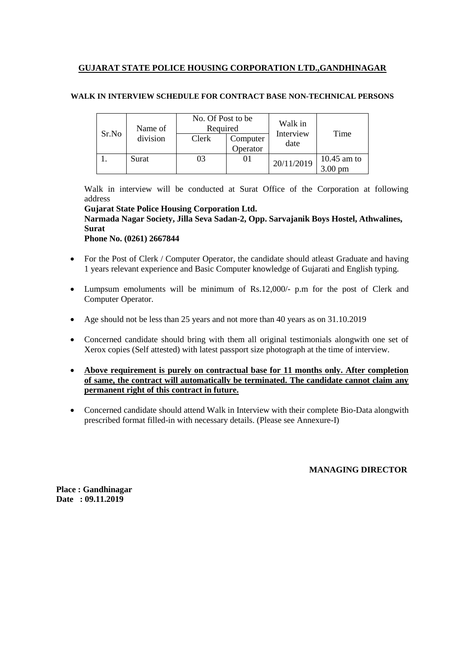## **WALK IN INTERVIEW SCHEDULE FOR CONTRACT BASE NON-TECHNICAL PERSONS**

| Name of |          | No. Of Post to be<br>Required |                      | Walk in           |                             |  |
|---------|----------|-------------------------------|----------------------|-------------------|-----------------------------|--|
| Sr.No   | division | Clerk                         | Computer<br>Operator | Interview<br>date | Time                        |  |
|         | Surat    | 03                            |                      | 20/11/2019        | $10.45$ am to<br>3.00<br>pm |  |

Walk in interview will be conducted at Surat Office of the Corporation at following address

**Gujarat State Police Housing Corporation Ltd. Narmada Nagar Society, Jilla Seva Sadan-2, Opp. Sarvajanik Boys Hostel, Athwalines, Surat**

**Phone No. (0261) 2667844**

- For the Post of Clerk / Computer Operator, the candidate should atleast Graduate and having 1 years relevant experience and Basic Computer knowledge of Gujarati and English typing.
- Lumpsum emoluments will be minimum of Rs.12,000/- p.m for the post of Clerk and Computer Operator.
- Age should not be less than 25 years and not more than 40 years as on 31.10.2019
- Concerned candidate should bring with them all original testimonials alongwith one set of Xerox copies (Self attested) with latest passport size photograph at the time of interview.
- **Above requirement is purely on contractual base for 11 months only. After completion of same, the contract will automatically be terminated. The candidate cannot claim any permanent right of this contract in future.**
- Concerned candidate should attend Walk in Interview with their complete Bio-Data alongwith prescribed format filled-in with necessary details. (Please see Annexure-I)

**MANAGING DIRECTOR**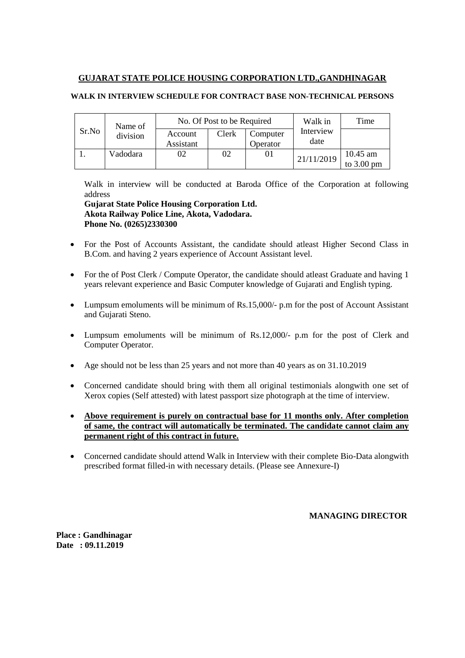## **WALK IN INTERVIEW SCHEDULE FOR CONTRACT BASE NON-TECHNICAL PERSONS**

| Name of |          |                      | No. Of Post to be Required | Walk in              | Time              |                                  |
|---------|----------|----------------------|----------------------------|----------------------|-------------------|----------------------------------|
| Sr.No   | division | Account<br>Assistant | Clerk                      | Computer<br>Operator | Interview<br>date |                                  |
|         | Vadodara |                      | 02                         | 01                   | 21/11/2019        | 10.45 am<br>to $3.00 \text{ pm}$ |

Walk in interview will be conducted at Baroda Office of the Corporation at following address

**Gujarat State Police Housing Corporation Ltd. Akota Railway Police Line, Akota, Vadodara. Phone No. (0265)2330300**

- For the Post of Accounts Assistant, the candidate should atleast Higher Second Class in B.Com. and having 2 years experience of Account Assistant level.
- For the of Post Clerk / Compute Operator, the candidate should atleast Graduate and having 1 years relevant experience and Basic Computer knowledge of Gujarati and English typing.
- Lumpsum emoluments will be minimum of Rs.15,000/- p.m for the post of Account Assistant and Gujarati Steno.
- Lumpsum emoluments will be minimum of Rs.12,000/- p.m for the post of Clerk and Computer Operator.
- Age should not be less than 25 years and not more than 40 years as on 31.10.2019
- Concerned candidate should bring with them all original testimonials alongwith one set of Xerox copies (Self attested) with latest passport size photograph at the time of interview.
- **Above requirement is purely on contractual base for 11 months only. After completion of same, the contract will automatically be terminated. The candidate cannot claim any permanent right of this contract in future.**
- Concerned candidate should attend Walk in Interview with their complete Bio-Data alongwith prescribed format filled-in with necessary details. (Please see Annexure-I)

#### **MANAGING DIRECTOR**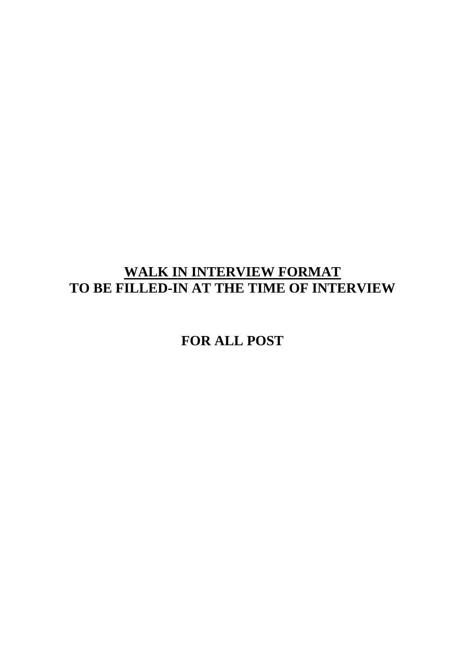# **WALK IN INTERVIEW FORMAT TO BE FILLED-IN AT THE TIME OF INTERVIEW**

**FOR ALL POST**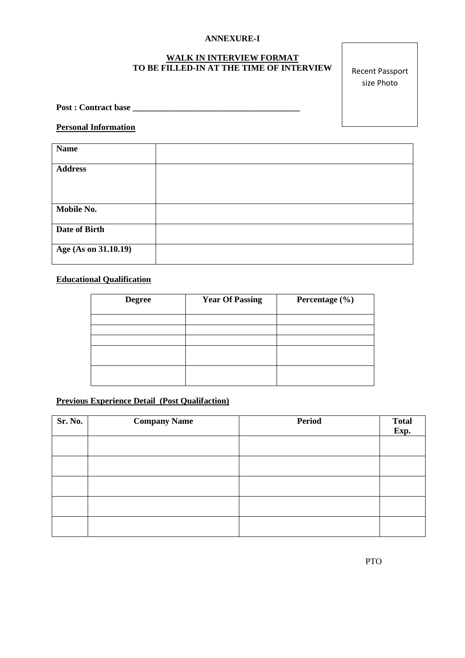## **ANNEXURE-I**

#### **WALK IN INTERVIEW FORMAT TO BE FILLED-IN AT THE TIME OF INTERVIEW**

Recent Passport size Photo

**Post : Contract base \_\_\_\_\_\_\_\_\_\_\_\_\_\_\_\_\_\_\_\_\_\_\_\_\_\_\_\_\_\_\_\_\_\_\_\_\_\_\_**

#### **Personal Information**

| <b>Name</b>          |  |
|----------------------|--|
|                      |  |
| <b>Address</b>       |  |
|                      |  |
|                      |  |
|                      |  |
| Mobile No.           |  |
|                      |  |
| Date of Birth        |  |
|                      |  |
| Age (As on 31.10.19) |  |
|                      |  |

# **Educational Qualification**

| <b>Degree</b> | <b>Year Of Passing</b> | Percentage (%) |
|---------------|------------------------|----------------|
|               |                        |                |
|               |                        |                |
|               |                        |                |
|               |                        |                |
|               |                        |                |
|               |                        |                |
|               |                        |                |
|               |                        |                |

## **Previous Experience Detail (Post Qualifaction)**

| <b>Sr. No.</b> | <b>Company Name</b> | Period | Total<br>Exp. |
|----------------|---------------------|--------|---------------|
|                |                     |        |               |
|                |                     |        |               |
|                |                     |        |               |
|                |                     |        |               |
|                |                     |        |               |
|                |                     |        |               |
|                |                     |        |               |
|                |                     |        |               |
|                |                     |        |               |
|                |                     |        |               |
|                |                     |        |               |